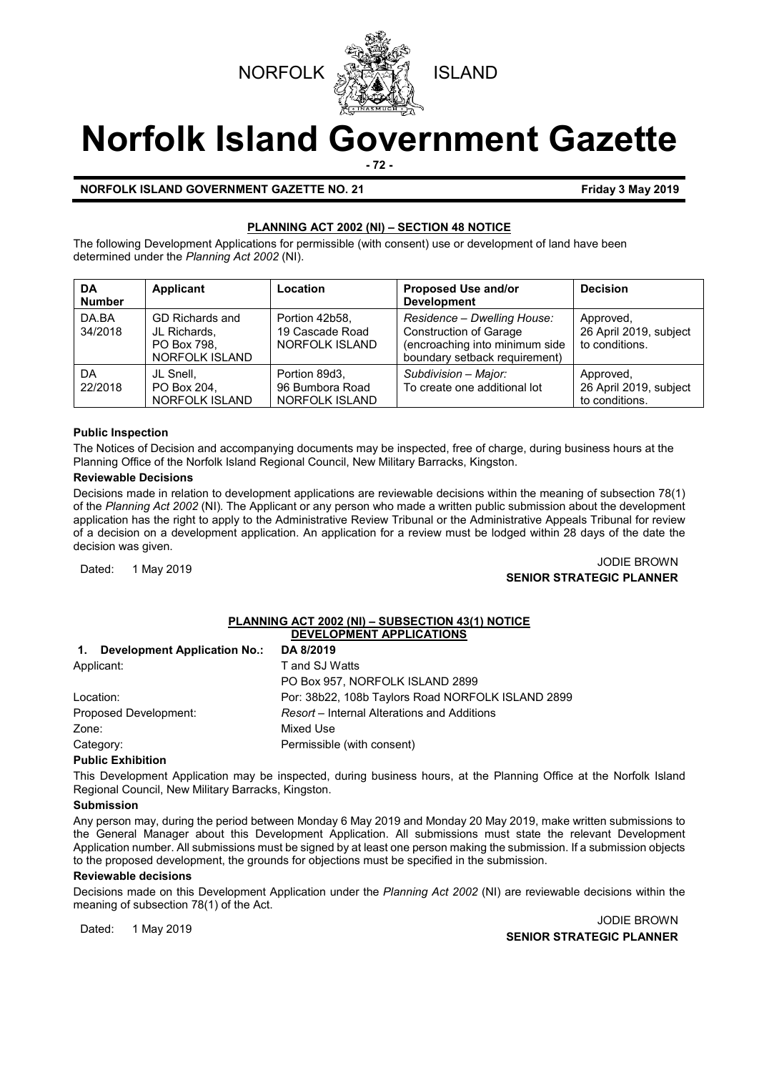



# **Norfolk Island Government Gazette**

**- 72 -**

### **NORFOLK ISLAND GOVERNMENT GAZETTE NO. 21 FRIDAY 1999 12019 Friday 3 May 2019**

# **PLANNING ACT 2002 (NI) – SECTION 48 NOTICE**

The following Development Applications for permissible (with consent) use or development of land have been determined under the *Planning Act 2002* (NI).

| DA<br><b>Number</b> | <b>Applicant</b>                                                        | Location                                                  | Proposed Use and/or<br><b>Development</b>                                                                                       | <b>Decision</b>                                       |
|---------------------|-------------------------------------------------------------------------|-----------------------------------------------------------|---------------------------------------------------------------------------------------------------------------------------------|-------------------------------------------------------|
| DA.BA<br>34/2018    | GD Richards and<br>JL Richards.<br>PO Box 798.<br><b>NORFOLK ISLAND</b> | Portion 42b58.<br>19 Cascade Road<br>NORFOLK ISLAND       | Residence - Dwelling House:<br><b>Construction of Garage</b><br>(encroaching into minimum side<br>boundary setback requirement) | Approved,<br>26 April 2019, subject<br>to conditions. |
| DA<br>22/2018       | JL Snell.<br>PO Box 204,<br><b>NORFOLK ISLAND</b>                       | Portion 89d3.<br>96 Bumbora Road<br><b>NORFOLK ISLAND</b> | Subdivision - Major:<br>To create one additional lot                                                                            | Approved,<br>26 April 2019, subject<br>to conditions. |

# **Public Inspection**

The Notices of Decision and accompanying documents may be inspected, free of charge, during business hours at the Planning Office of the Norfolk Island Regional Council, New Military Barracks, Kingston.

### **Reviewable Decisions**

Decisions made in relation to development applications are reviewable decisions within the meaning of subsection 78(1) of the *Planning Act 2002* (NI)*.* The Applicant or any person who made a written public submission about the development application has the right to apply to the Administrative Review Tribunal or the Administrative Appeals Tribunal for review of a decision on a development application. An application for a review must be lodged within 28 days of the date the decision was given.

# Dated: 1 May 2019<br>Dated: 1 May 2019 JODIE BROWN **SENIOR STRATEGIC PLANNER**

### **PLANNING ACT 2002 (NI) – SUBSECTION 43(1) NOTICE DEVELOPMENT APPLICATIONS**

| Development Application No.:<br>$\mathbf{1}$ . | DA 8/2019                                         |
|------------------------------------------------|---------------------------------------------------|
| Applicant:                                     | T and SJ Watts                                    |
|                                                | PO Box 957, NORFOLK ISLAND 2899                   |
| Location:                                      | Por: 38b22, 108b Taylors Road NORFOLK ISLAND 2899 |
| Proposed Development:                          | Resort – Internal Alterations and Additions       |
| Zone:                                          | Mixed Use                                         |
| Category:                                      | Permissible (with consent)                        |

# **Public Exhibition**

This Development Application may be inspected, during business hours, at the Planning Office at the Norfolk Island Regional Council, New Military Barracks, Kingston.

### **Submission**

Any person may, during the period between Monday 6 May 2019 and Monday 20 May 2019, make written submissions to the General Manager about this Development Application. All submissions must state the relevant Development Application number. All submissions must be signed by at least one person making the submission. If a submission objects to the proposed development, the grounds for objections must be specified in the submission.

### **Reviewable decisions**

Decisions made on this Development Application under the *Planning Act 2002* (NI) are reviewable decisions within the meaning of subsection 78(1) of the Act.

Dated: 1 May 2019 JODIE BROWN **SENIOR STRATEGIC PLANNER**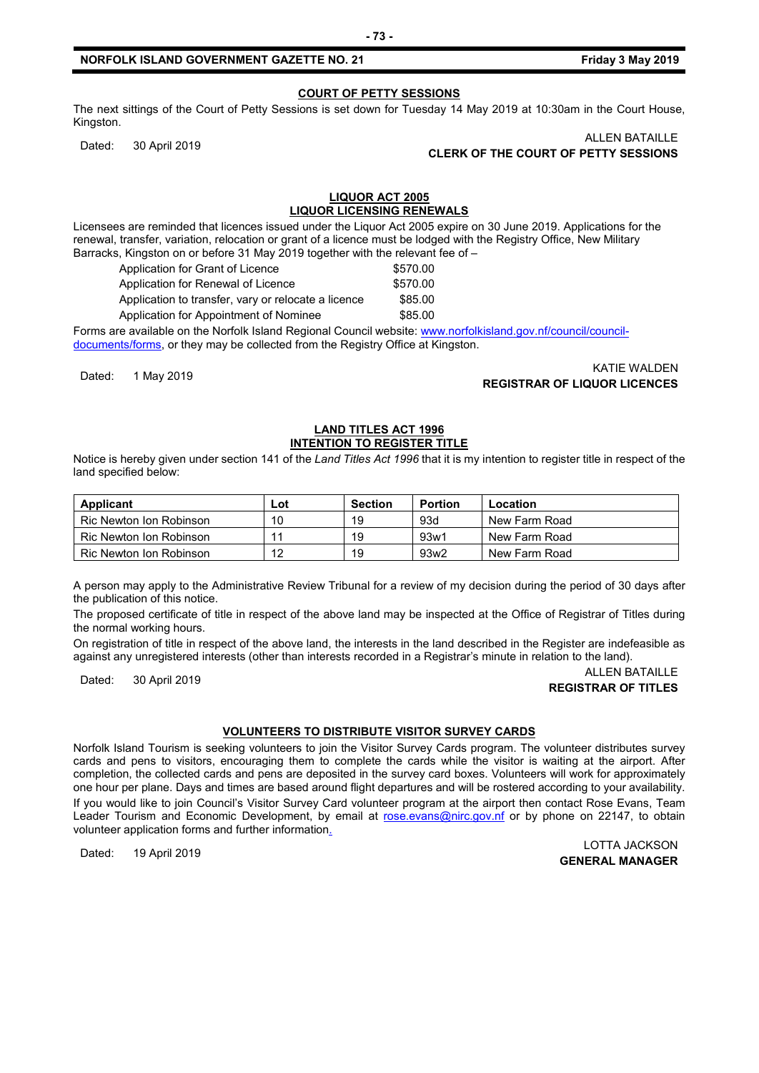**COURT OF PETTY SESSIONS**

The next sittings of the Court of Petty Sessions is set down for Tuesday 14 May 2019 at 10:30am in the Court House, Kingston.

# ALLEN BATAILLE<br>CLERK OF THE COURT OF PETTY SESSIONS CLERK OF THE COURT OF PETTY SESSIONS

### **LIQUOR ACT 2005 LIQUOR LICENSING RENEWALS**

Licensees are reminded that licences issued under the Liquor Act 2005 expire on 30 June 2019. Applications for the renewal, transfer, variation, relocation or grant of a licence must be lodged with the Registry Office, New Military Barracks, Kingston on or before 31 May 2019 together with the relevant fee of –

| Application for Grant of Licence                    | \$570.00 |
|-----------------------------------------------------|----------|
| Application for Renewal of Licence                  | \$570.00 |
| Application to transfer, vary or relocate a licence | \$85.00  |
| Application for Appointment of Nominee              | \$85.00  |

Forms are available on the Norfolk Island Regional Council website: [www.norfolkisland.gov.nf/council/council](http://www.norfolkisland.gov.nf/council/council-documents/forms)[documents/forms,](http://www.norfolkisland.gov.nf/council/council-documents/forms) or they may be collected from the Registry Office at Kingston.

KATIE WALDEN<br>**REGISTRAR OF LIQUOR LICENCES** (Kata angle of the set of the set of the set of the set of the set of the set of t

#### **LAND TITLES ACT 1996 INTENTION TO REGISTER TITLE**

Notice is hereby given under section 141 of the *Land Titles Act 1996* that it is my intention to register title in respect of the land specified below:

| Applicant               | Lot | Section | <b>Portion</b>   | Location      |
|-------------------------|-----|---------|------------------|---------------|
| Ric Newton Ion Robinson | 10  | 19      | 93d              | New Farm Road |
| Ric Newton Ion Robinson | 11  | 19      | 93w1             | New Farm Road |
| Ric Newton Ion Robinson | 12  | 19      | 93w <sub>2</sub> | New Farm Road |

A person may apply to the Administrative Review Tribunal for a review of my decision during the period of 30 days after the publication of this notice.

The proposed certificate of title in respect of the above land may be inspected at the Office of Registrar of Titles during the normal working hours.

On registration of title in respect of the above land, the interests in the land described in the Register are indefeasible as against any unregistered interests (other than interests recorded in a Registrar's minute in relation to the land).

### ALLEN BATAILLE<br>Dated: 30 April 2019 ALLEN BATAILLE **REGISTRAR OF TITLES**

# **VOLUNTEERS TO DISTRIBUTE VISITOR SURVEY CARDS**

Norfolk Island Tourism is seeking volunteers to join the Visitor Survey Cards program. The volunteer distributes survey cards and pens to visitors, encouraging them to complete the cards while the visitor is waiting at the airport. After completion, the collected cards and pens are deposited in the survey card boxes. Volunteers will work for approximately one hour per plane. Days and times are based around flight departures and will be rostered according to your availability. If you would like to join Council's Visitor Survey Card volunteer program at the airport then contact Rose Evans, Team Leader Tourism and Economic Development, by email at [rose.evans@nirc.gov.nf](mailto:rose.evans@nirc.gov.nf) or by phone on 22147, to obtain volunteer application forms and further information.

Dated: 19 April 2019 LOTTA JACKSON **GENERAL MANAGER**